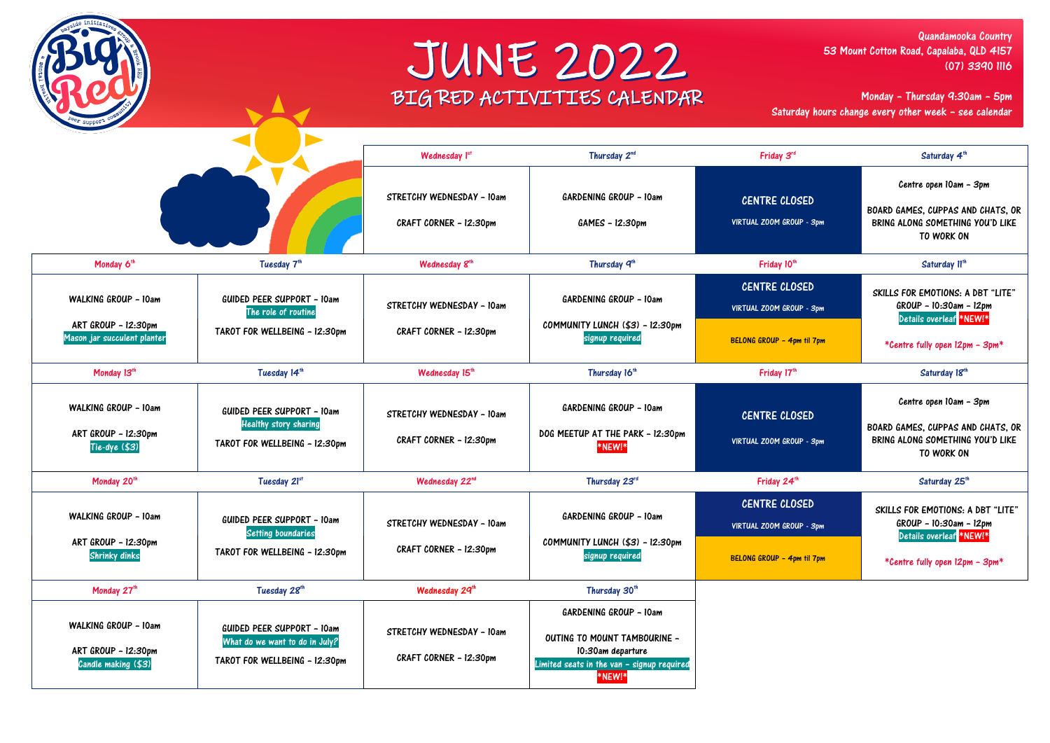| nd                      | Friday 3rd                                       | Saturday 4 <sup>th</sup>                                                                                      |  |
|-------------------------|--------------------------------------------------|---------------------------------------------------------------------------------------------------------------|--|
| $-10am$<br>0pm          | <b>CENTRE CLOSED</b><br>VIRTUAL ZOOM GROUP - 3pm | Centre open 10am - 3pm<br>BOARD GAMES, CUPPAS AND CHATS, OR<br>BRING ALONG SOMETHING YOU'D LIKE<br>TO WORK ON |  |
| th                      | Friday 10 <sup>th</sup>                          | Saturday 11th                                                                                                 |  |
| $-10am$<br>3) - 12:30pm | <b>CENTRE CLOSED</b><br>VIRTUAL ZOOM GROUP - 3pm | SKILLS FOR EMOTIONS: A DBT "LITE"<br>GROUP - 10:30am - 12pm<br>Details overleaf <mark>*NEW!*</mark>           |  |
| ed                      | <b>BELONG GROUP - 4pm til 7pm</b>                | *Centre fully open 12pm - 3pm*                                                                                |  |
| th,                     | Friday 17 <sup>th</sup>                          | Saturday 18th                                                                                                 |  |
|                         |                                                  |                                                                                                               |  |
| $-10am$<br>RK - 12:30pm | <b>CENTRE CLOSED</b><br>VIRTUAL ZOOM GROUP - 3pm | Centre open 10am - 3pm<br>BOARD GAMES, CUPPAS AND CHATS, OR<br>BRING ALONG SOMETHING YOU'D LIKE<br>TO WORK ON |  |
| prd                     | Friday 24 <sup>th</sup>                          | Saturday 25 <sup>th</sup>                                                                                     |  |
| $-10am$<br>3) - 12:30pm | <b>CENTRE CLOSED</b><br>VIRTUAL ZOOM GROUP - 3pm | SKILLS FOR EMOTIONS: A DBT "LITE"<br>GROUP - 10:30am - 12pm<br>Details overleaf *NEW!*                        |  |

# JUNE 2022 BIGRED ACTIVITIES CALENDAR

| Saturday 4 <sup>t</sup>                                                                | Friday 3rd                                       | Thursday 2nd                                                                                                                                      | Wednesday 1st                                       |                                                                                                      |                                                                    |
|----------------------------------------------------------------------------------------|--------------------------------------------------|---------------------------------------------------------------------------------------------------------------------------------------------------|-----------------------------------------------------|------------------------------------------------------------------------------------------------------|--------------------------------------------------------------------|
| Centre open 10am<br>BOARD GAMES, CUPPAS A<br><b>BRING ALONG SOMETHIN</b><br>TO WORK OF | <b>CENTRE CLOSED</b><br>VIRTUAL ZOOM GROUP - 3pm | <b>GARDENING GROUP - 10am</b><br>GAMES - 12:30pm                                                                                                  | STRETCHY WEDNESDAY - 10am<br>CRAFT CORNER - 12:30pm |                                                                                                      |                                                                    |
| Saturday II <sup>t</sup>                                                               | Friday 10 <sup>th</sup>                          | Thursday 9 <sup>th</sup>                                                                                                                          | Wednesday $gth$                                     | Tuesday 7 <sup>th</sup>                                                                              | Monday 6 <sup>th</sup>                                             |
| <b>SKILLS FOR EMOTIONS:</b><br>GROUP - 10:30am<br>Details overleaf <sup>*</sup>        | <b>CENTRE CLOSED</b><br>VIRTUAL ZOOM GROUP - 3pm | <b>GARDENING GROUP - 10am</b>                                                                                                                     | STRETCHY WEDNESDAY - 10am                           | <b>GUIDED PEER SUPPORT - 10am</b><br>The role of routine                                             | WALKING GROUP - 10am                                               |
| *Centre fully open 12                                                                  | <b>BELONG GROUP - 4pm til 7pm</b>                | COMMUNITY LUNCH (\$3) - 12:30pm<br>signup required                                                                                                | CRAFT CORNER - 12:30pm                              | TAROT FOR WELLBEING - 12:30pm                                                                        | ART GROUP - 12:30pm<br>Mason jar succulent planter                 |
| Saturday 18                                                                            | Friday 17 <sup>th</sup>                          | Thursday 16 <sup>th</sup>                                                                                                                         | Wednesday 15 <sup>th</sup>                          | Tuesday 14th                                                                                         | Monday 13th                                                        |
| Centre open 10am<br>BOARD GAMES, CUPPAS A<br><b>BRING ALONG SOMETHIN</b><br>TO WORK O  | <b>CENTRE CLOSED</b><br>VIRTUAL ZOOM GROUP - 3pm | <b>GARDENING GROUP - 10am</b><br>DOG MEETUP AT THE PARK - 12:30pm<br>*NEW!*                                                                       | STRETCHY WEDNESDAY - 10am<br>CRAFT CORNER - 12:30pm | <b>GUIDED PEER SUPPORT - 10am</b><br><b>Healthy story sharing</b><br>TAROT FOR WELLBEING - 12:30pm   | WALKING GROUP - 10am<br>ART GROUP - 12:30pm<br>Tie-dye (\$3)       |
| <b>Saturday 25</b>                                                                     | Friday 24 <sup>th</sup>                          | Thursday 23rd                                                                                                                                     | Wednesday 22nd                                      | Tuesday 21st                                                                                         | Monday 20 <sup>th</sup>                                            |
| <b>SKILLS FOR EMOTIONS:</b><br>GROUP - 10:30am<br>Details overleaf <mark>*</mark>      | <b>CENTRE CLOSED</b><br>VIRTUAL ZOOM GROUP - 3pm | <b>GARDENING GROUP - 10am</b>                                                                                                                     | STRETCHY WEDNESDAY - 10am                           | <b>GUIDED PEER SUPPORT - 10am</b><br>Setting boundaries                                              | WALKING GROUP - 10am                                               |
| *Centre fully open 12                                                                  | <b>BELONG GROUP - 4pm til 7pm</b>                | COMMUNITY LUNCH (\$3) - 12:30pm<br>signup required                                                                                                | CRAFT CORNER - 12:30pm                              | TAROT FOR WELLBEING - 12:30pm                                                                        | ART GROUP - 12:30pm<br><b>Shrinky dinks</b>                        |
|                                                                                        |                                                  | Thursday 30 <sup>th</sup>                                                                                                                         | Wednesday 29th                                      | Tuesday 28 <sup>th</sup>                                                                             | Monday 27 <sup>th</sup>                                            |
|                                                                                        |                                                  | <b>GARDENING GROUP - 10am</b><br><b>OUTING TO MOUNT TAMBOURINE -</b><br>10:30am departure<br>Limited seats in the van - signup required<br>*NEW!* | STRETCHY WEDNESDAY - 10am<br>CRAFT CORNER - 12:30pm | <b>GUIDED PEER SUPPORT - 10am</b><br>What do we want to do in July?<br>TAROT FOR WELLBEING - 12:30pm | WALKING GROUP - 10am<br>ART GROUP - 12:30pm<br>Candle making (\$3) |

Quandamooka Country 53 Mount Cotton Road, Capalaba, QLD 4157 (07) 3390 1116

Monday – Thursday 9:30am – 5pm Saturday hours change every other week – see calendar